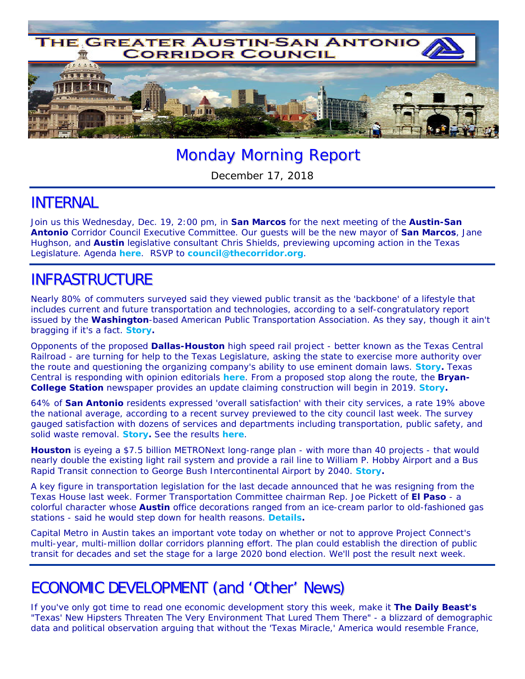

# Monday Morning Report

December 17, 2018

### INTERNAL

Join us *this* Wednesday, Dec. 19, 2:00 pm, in **San Marcos** for the next meeting of the **Austin-San Antonio** Corridor Council Executive Committee. Our guests will be the new mayor of **San Marcos**, Jane Hughson, and **Austin** legislative consultant Chris Shields, previewing upcoming action in the Texas Legislature. Agenda *here*. RSVP to **council@thecorridor.org**.

# INFRASTRUCTURE

Nearly 80% of commuters surveyed said they viewed public transit as the 'backbone' of a lifestyle that includes current and future transportation and technologies, according to a self-congratulatory report issued by the **Washington**-based American Public Transportation Association. As they say, though it ain't bragging if it's a fact. *Story***.** 

Opponents of the proposed **Dallas-Houston** high speed rail project - better known as the Texas Central Railroad - are turning for help to the Texas Legislature, asking the state to exercise more authority over the route and questioning the organizing company's ability to use eminent domain laws. *Story***.** Texas Central is responding with opinion editorials *here*. From a proposed stop along the route, the **Bryan-College Station** newspaper provides an update claiming construction will begin in 2019. *Story***.**

64% of **San Antonio** residents expressed 'overall satisfaction' with their city services, a rate 19% above the national average, according to a recent survey previewed to the city council last week. The survey gauged satisfaction with dozens of services and departments including transportation, public safety, and solid waste removal. *Story***.** See the results *here*.

**Houston** is eyeing a \$7.5 billion METRONext long-range plan - with more than 40 projects - that would nearly double the existing light rail system and provide a rail line to William P. Hobby Airport and a Bus Rapid Transit connection to George Bush Intercontinental Airport by 2040. *Story***.** 

A key figure in transportation legislation for the last decade announced that he was resigning from the Texas House last week. Former Transportation Committee chairman Rep. Joe Pickett of **El Paso** - a colorful character whose **Austin** office decorations ranged from an ice-cream parlor to old-fashioned gas stations - said he would step down for health reasons. *Details***.**

Capital Metro in Austin takes an important vote today on whether or not to approve Project Connect's multi-year, multi-million dollar corridors planning effort. The plan could establish the direction of public transit for decades and set the stage for a large 2020 bond election. We'll post the result next week.

# ECONOMIC DEVELOPMENT (and 'Other' News)

If you've only got time to read one economic development story this week, make it *The Daily Beast's "Texas' New Hipsters Threaten The Very Environment That Lured Them There"* - a blizzard of demographic data and political observation arguing that without the 'Texas Miracle,' America would resemble France,